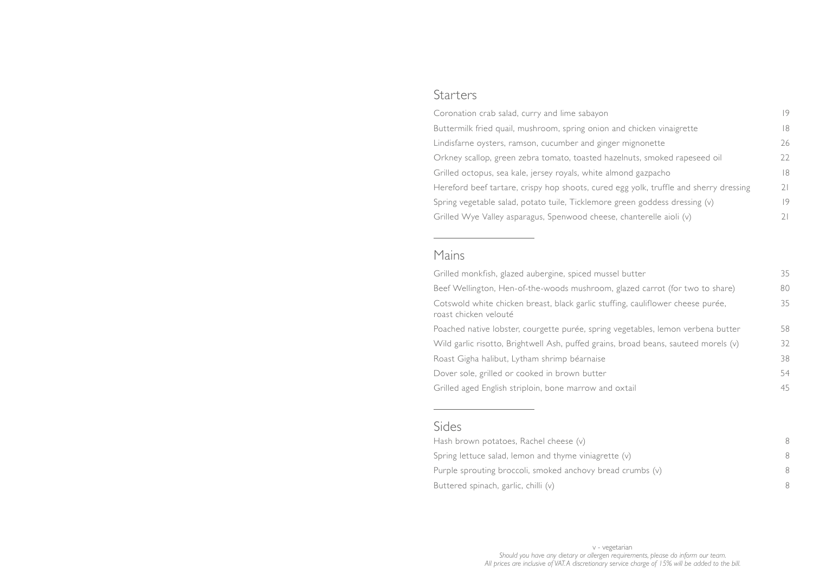## **Starters**

Coronation crab salad, curry and lime sabayon Buttermilk fried quail, mushroom, spring onion a Lindisfarne oysters, ramson, cucumber and ginge Orkney scallop, green zebra tomato, toasted hazeln Grilled octopus, sea kale, jersey royals, white aln Hereford beef tartare, crispy hop shoots, cured Spring vegetable salad, potato tuile, Ticklemore Grilled Wye Valley asparagus, Spenwood cheese

Grilled monkfish, glazed aubergine, spiced musse Beef Wellington, Hen-of-the-woods mushroom, Cotswold white chicken breast, black garlic stuffi roast chicken velouté

Poached native lobster, courgette purée, spring Wild garlic risotto, Brightwell Ash, puffed grains, Roast Gigha halibut, Lytham shrimp béarnaise Dover sole, grilled or cooked in brown butter Grilled aged English striploin, bone marrow and

## Mains

Hash brown potatoes, Rachel cheese (v) 8 Spring lettuce salad, lemon and thyme viniagrette Purple sprouting broccoli, smoked anchovy bread Buttered spinach, garlic, chilli (v) 8

## Sides

|                                       | 19 |
|---------------------------------------|----|
| and chicken vinaigrette               | 18 |
| er mignonette                         | 26 |
| zelnuts, smoked rapeseed oil          | 22 |
| nond gazpacho                         | 18 |
| egg yolk, truffle and sherry dressing | 21 |
| green goddess dressing $(v)$          | 9  |
| e, chanterelle aioli (v)              | 21 |

| el butter                           | 35 |
|-------------------------------------|----|
| glazed carrot (for two to share)    | 80 |
| ing, cauliflower cheese purée,      | 35 |
|                                     |    |
| vegetables, lemon verbena butter    | 58 |
| , broad beans, sauteed morels $(v)$ | 32 |
|                                     | 38 |
|                                     | 54 |
| oxtail                              | 45 |
|                                     |    |

| e (v)        | 8 |
|--------------|---|
| d crumbs (v) | 8 |
|              | Я |